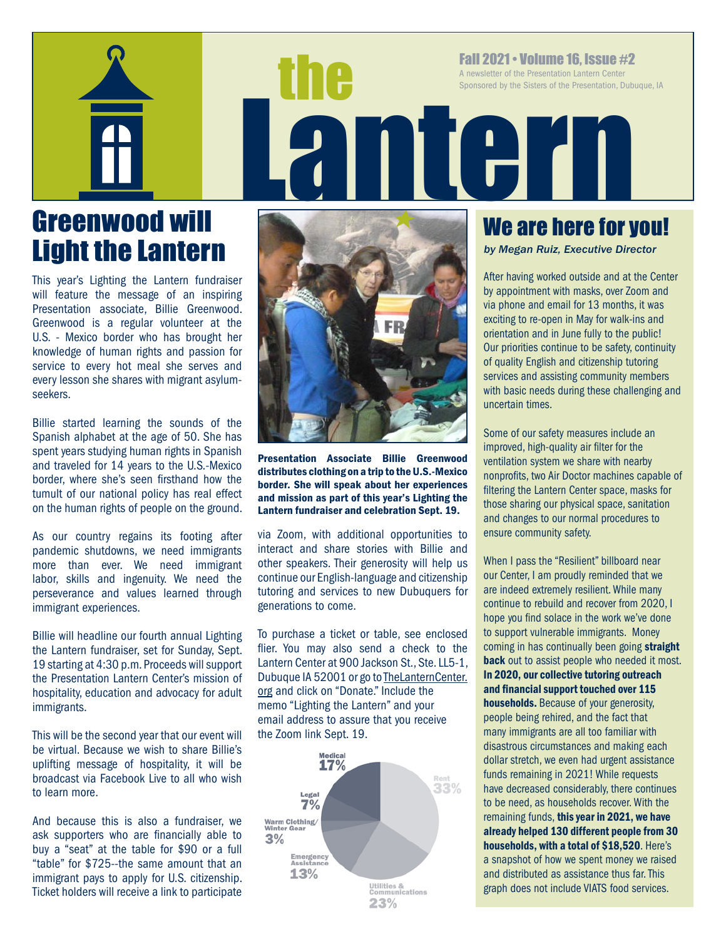

# Greenwood will Light the Lantern

This year's Lighting the Lantern fundraiser will feature the message of an inspiring Presentation associate, Billie Greenwood. Greenwood is a regular volunteer at the U.S. - Mexico border who has brought her knowledge of human rights and passion for service to every hot meal she serves and every lesson she shares with migrant asylumseekers.

Billie started learning the sounds of the Spanish alphabet at the age of 50. She has spent years studying human rights in Spanish and traveled for 14 years to the U.S.-Mexico border, where she's seen firsthand how the tumult of our national policy has real effect on the human rights of people on the ground.

As our country regains its footing after pandemic shutdowns, we need immigrants more than ever. We need immigrant labor, skills and ingenuity. We need the perseverance and values learned through immigrant experiences.

Billie will headline our fourth annual Lighting the Lantern fundraiser, set for Sunday, Sept. 19 starting at 4:30 p.m. Proceeds will support the Presentation Lantern Center's mission of hospitality, education and advocacy for adult immigrants.

This will be the second year that our event will be virtual. Because we wish to share Billie's uplifting message of hospitality, it will be broadcast via Facebook Live to all who wish to learn more.

And because this is also a fundraiser, we ask supporters who are financially able to buy a "seat" at the table for \$90 or a full "table" for \$725--the same amount that an immigrant pays to apply for U.S. citizenship. Ticket holders will receive a link to participate



Presentation Associate Billie Greenwood distributes clothing on a trip to the U.S.-Mexico border. She will speak about her experiences and mission as part of this year's Lighting the Lantern fundraiser and celebration Sept. 19.

via Zoom, with additional opportunities to interact and share stories with Billie and other speakers. Their generosity will help us continue our English-language and citizenship tutoring and services to new Dubuquers for generations to come.

To purchase a ticket or table, see enclosed flier. You may also send a check to the Lantern Center at 900 Jackson St., Ste. LL5-1, Dubuque IA 52001 or go to TheLanternCenter. org and click on "Donate." Include the memo "Lighting the Lantern" and your email address to assure that you receive the Zoom link Sept. 19.



## We are here for you!

*by Megan Ruiz, Executive Director*

Fall 2021 • Volume 16, ISSUe #2<br>A newsletter of the Presentation Lantern Center<br>Sponsored by the Sisters of the Presentation, Dubt<br>Resentation, Dubt

A newsletter of the Presentation Lantern Center Sponsored by the Sisters of the Presentation, Dubuque, IA

> After having worked outside and at the Center by appointment with masks, over Zoom and via phone and email for 13 months, it was exciting to re-open in May for walk-ins and orientation and in June fully to the public! Our priorities continue to be safety, continuity of quality English and citizenship tutoring services and assisting community members with basic needs during these challenging and uncertain times.

Some of our safety measures include an improved, high-quality air filter for the ventilation system we share with nearby nonprofits, two Air Doctor machines capable of filtering the Lantern Center space, masks for those sharing our physical space, sanitation and changes to our normal procedures to ensure community safety.

When I pass the "Resilient" billboard near our Center, I am proudly reminded that we are indeed extremely resilient. While many continue to rebuild and recover from 2020, I hope you find solace in the work we've done to support vulnerable immigrants. Money coming in has continually been going straight **back** out to assist people who needed it most. In 2020, our collective tutoring outreach and financial support touched over 115 households. Because of your generosity, people being rehired, and the fact that many immigrants are all too familiar with disastrous circumstances and making each dollar stretch, we even had urgent assistance funds remaining in 2021! While requests have decreased considerably, there continues to be need, as households recover. With the remaining funds, this year in 2021, we have already helped 130 different people from 30 households, with a total of \$18,520. Here's a snapshot of how we spent money we raised and distributed as assistance thus far. This graph does not include VIATS food services.